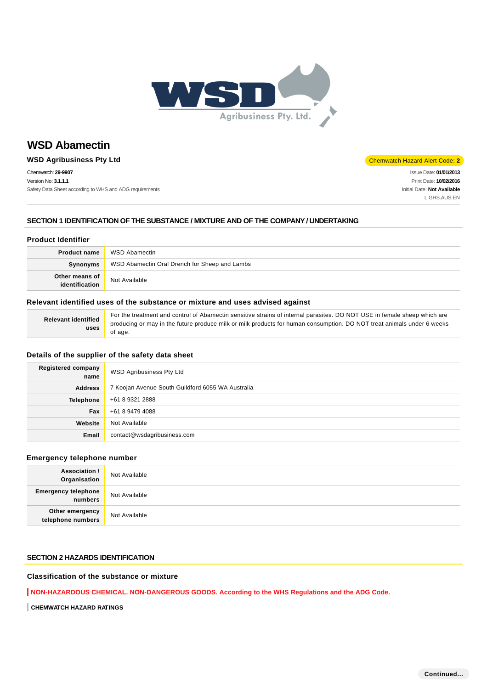

# **WSD Abamectin**

## **WSD Agribusiness Pty Ltd** Chemwatch Hazard Alert Code: **2**

Chemwatch: **29-9907** Version No: **3.1.1.1** Safety Data Sheet according to WHS and ADG requirements

Issue Date: **01/01/2013** Print Date: **10/02/2016** Initial Date: **Not Available** L.GHS.AUS.EN

### **SECTION 1 IDENTIFICATION OF THE SUBSTANCE / MIXTURE AND OF THE COMPANY / UNDERTAKING**

## **Product Identifier**

| <b>Product name</b>              | WSD Abamectin                                 |
|----------------------------------|-----------------------------------------------|
| Synonyms                         | WSD Abamectin Oral Drench for Sheep and Lambs |
| Other means of<br>identification | Not Available                                 |

### **Relevant identified uses of the substance or mixture and uses advised against**

| <b>Relevant identified</b><br>uses | For the treatment and control of Abamectin sensitive strains of internal parasites. DO NOT USE in female sheep which are |
|------------------------------------|--------------------------------------------------------------------------------------------------------------------------|
|                                    | producing or may in the future produce milk or milk products for human consumption. DO NOT treat animals under 6 weeks   |
|                                    | of age.                                                                                                                  |

## **Details of the supplier of the safety data sheet**

| <b>Registered company</b><br>name | <b>WSD Agribusiness Pty Ltd</b>                   |
|-----------------------------------|---------------------------------------------------|
| <b>Address</b>                    | 7 Koojan Avenue South Guildford 6055 WA Australia |
| <b>Telephone</b>                  | +61 8 9321 2888                                   |
| <b>Fax</b>                        | +61 8 9479 4088                                   |
| Website                           | Not Available                                     |
| Email                             | contact@wsdagribusiness.com                       |

## **Emergency telephone number**

| <b>Association /</b><br>Organisation         | Not Available |
|----------------------------------------------|---------------|
| <b>Emergency telephone</b><br><b>numbers</b> | Not Available |
| Other emergency<br>telephone numbers         | Not Available |

## **SECTION 2 HAZARDS IDENTIFICATION**

## **Classification of the substance or mixture**

**NON-HAZARDOUS CHEMICAL. NON-DANGEROUS GOODS. According to the WHS Regulations and the ADG Code.**

**CHEMWATCH HAZARD RATINGS**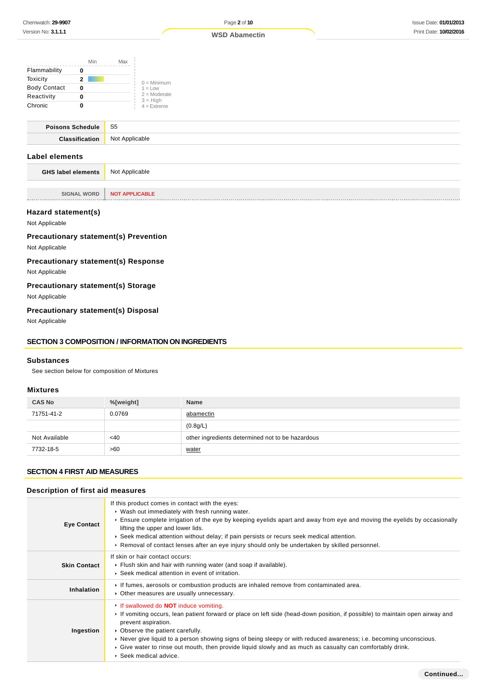#### **WSD Abamectin**

|                     | Min | Max |                              |
|---------------------|-----|-----|------------------------------|
| Flammability        |     |     |                              |
| Toxicity            | 2   |     | $0 =$ Minimum                |
| <b>Body Contact</b> | 0   |     | $1 = 1$ OW                   |
| Reactivity          |     |     | $2 =$ Moderate<br>$3 = High$ |
| Chronic             |     |     | $4 =$ Extreme                |

| <b>Poisons Schedule</b> | S <sub>5</sub>     |
|-------------------------|--------------------|
| Closeir                 | Nl∩t<br>Annlicable |
|                         |                    |

## **Label elements**

**GHS label elements** Not Applicable

**SIGNAL WORD NOT APPLICABLE** 

#### **Hazard statement(s)**

Not Applicable

## **Precautionary statement(s) Prevention**

Not Applicable

## **Precautionary statement(s) Response**

Not Applicable

## **Precautionary statement(s) Storage**

Not Applicable

## **Precautionary statement(s) Disposal**

Not Applicable

## **SECTION 3 COMPOSITION / INFORMATION ON INGREDIENTS**

#### **Substances**

See section below for composition of Mixtures

## **Mixtures**

| <b>CAS No</b> | %[weight] | <b>Name</b>                                      |
|---------------|-----------|--------------------------------------------------|
| 71751-41-2    | 0.0769    | abamectin                                        |
|               |           | (0.8g/L)                                         |
| Not Available | <40       | other ingredients determined not to be hazardous |
| 7732-18-5     | >60       | water                                            |

## **SECTION 4 FIRST AID MEASURES**

## **Description of first aid measures**

| <b>Eye Contact</b>  | If this product comes in contact with the eyes:<br>▶ Wash out immediately with fresh running water.<br>Ensure complete irrigation of the eye by keeping eyelids apart and away from eye and moving the eyelids by occasionally<br>lifting the upper and lower lids.<br>▶ Seek medical attention without delay; if pain persists or recurs seek medical attention.<br>► Removal of contact lenses after an eye injury should only be undertaken by skilled personnel.                                                    |
|---------------------|-------------------------------------------------------------------------------------------------------------------------------------------------------------------------------------------------------------------------------------------------------------------------------------------------------------------------------------------------------------------------------------------------------------------------------------------------------------------------------------------------------------------------|
| <b>Skin Contact</b> | If skin or hair contact occurs:<br>Filush skin and hair with running water (and soap if available).<br>▶ Seek medical attention in event of irritation.                                                                                                                                                                                                                                                                                                                                                                 |
| <b>Inhalation</b>   | If fumes, aerosols or combustion products are inhaled remove from contaminated area.<br>Other measures are usually unnecessary.                                                                                                                                                                                                                                                                                                                                                                                         |
| Ingestion           | If swallowed do <b>NOT</b> induce vomiting.<br>Foll fromiting occurs, lean patient forward or place on left side (head-down position, if possible) to maintain open airway and<br>prevent aspiration.<br>• Observe the patient carefully.<br>► Never give liquid to a person showing signs of being sleepy or with reduced awareness; i.e. becoming unconscious.<br>$\triangleright$ Give water to rinse out mouth, then provide liquid slowly and as much as casualty can comfortably drink.<br>▶ Seek medical advice. |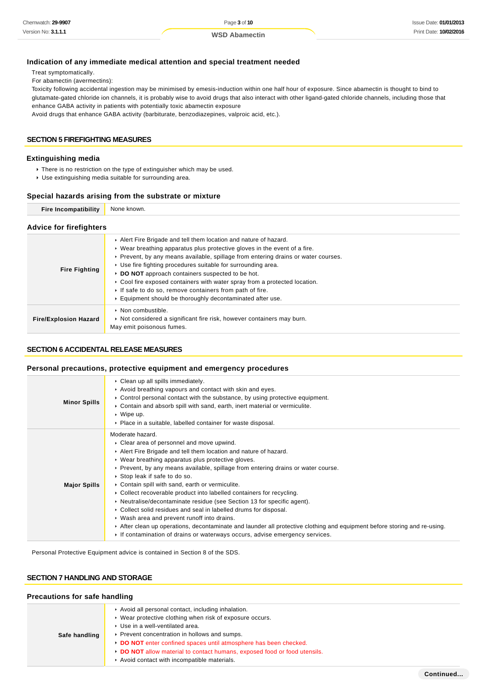### **Indication of any immediate medical attention and special treatment needed**

Treat symptomatically.

For abamectin (avermectins):

Toxicity following accidental ingestion may be minimised by emesis-induction within one half hour of exposure. Since abamectin is thought to bind to glutamate-gated chloride ion channels, it is probably wise to avoid drugs that also interact with other ligand-gated chloride channels, including those that enhance GABA activity in patients with potentially toxic abamectin exposure

Avoid drugs that enhance GABA activity (barbiturate, benzodiazepines, valproic acid, etc.).

## **SECTION 5 FIREFIGHTING MEASURES**

#### **Extinguishing media**

- ▶ There is no restriction on the type of extinguisher which may be used.
- Use extinguishing media suitable for surrounding area.

#### **Special hazards arising from the substrate or mixture**

**Fire Incompatibility** None known.

### **Advice for firefighters**

| <b>Fire Fighting</b>         | Alert Fire Brigade and tell them location and nature of hazard.<br>► Wear breathing apparatus plus protective gloves in the event of a fire.<br>▶ Prevent, by any means available, spillage from entering drains or water courses.<br>■ Use fire fighting procedures suitable for surrounding area.<br>▶ DO NOT approach containers suspected to be hot.<br>► Cool fire exposed containers with water spray from a protected location.<br>If safe to do so, remove containers from path of fire.<br>Equipment should be thoroughly decontaminated after use. |
|------------------------------|--------------------------------------------------------------------------------------------------------------------------------------------------------------------------------------------------------------------------------------------------------------------------------------------------------------------------------------------------------------------------------------------------------------------------------------------------------------------------------------------------------------------------------------------------------------|
| <b>Fire/Explosion Hazard</b> | $\triangleright$ Non combustible.<br>Not considered a significant fire risk, however containers may burn.<br>May emit poisonous fumes.                                                                                                                                                                                                                                                                                                                                                                                                                       |

## **SECTION 6 ACCIDENTAL RELEASE MEASURES**

#### **Personal precautions, protective equipment and emergency procedures**

| <b>Minor Spills</b> | $\triangleright$ Clean up all spills immediately.<br>Avoid breathing vapours and contact with skin and eyes.<br>$\triangleright$ Control personal contact with the substance, by using protective equipment.<br>► Contain and absorb spill with sand, earth, inert material or vermiculite.<br>$\triangleright$ Wipe up.<br>• Place in a suitable, labelled container for waste disposal.                                                                                                                                                                                                                                                                                                                                                                                                                                                        |
|---------------------|--------------------------------------------------------------------------------------------------------------------------------------------------------------------------------------------------------------------------------------------------------------------------------------------------------------------------------------------------------------------------------------------------------------------------------------------------------------------------------------------------------------------------------------------------------------------------------------------------------------------------------------------------------------------------------------------------------------------------------------------------------------------------------------------------------------------------------------------------|
| <b>Major Spills</b> | Moderate hazard.<br>• Clear area of personnel and move upwind.<br>Alert Fire Brigade and tell them location and nature of hazard.<br>▶ Wear breathing apparatus plus protective gloves.<br>▶ Prevent, by any means available, spillage from entering drains or water course.<br>▶ Stop leak if safe to do so.<br>• Contain spill with sand, earth or vermiculite.<br>• Collect recoverable product into labelled containers for recycling.<br>► Neutralise/decontaminate residue (see Section 13 for specific agent).<br>Collect solid residues and seal in labelled drums for disposal.<br>▶ Wash area and prevent runoff into drains.<br>After clean up operations, decontaminate and launder all protective clothing and equipment before storing and re-using.<br>If contamination of drains or waterways occurs, advise emergency services. |

Personal Protective Equipment advice is contained in Section 8 of the SDS.

## **SECTION 7 HANDLING AND STORAGE**

#### **Precautions for safe handling**

|               | Avoid all personal contact, including inhalation.                       |  |
|---------------|-------------------------------------------------------------------------|--|
|               | ▶ Wear protective clothing when risk of exposure occurs.                |  |
|               | ▶ Use in a well-ventilated area.                                        |  |
| Safe handling | ▶ Prevent concentration in hollows and sumps.                           |  |
|               | DO NOT enter confined spaces until atmosphere has been checked.         |  |
|               | DO NOT allow material to contact humans, exposed food or food utensils. |  |
|               | Avoid contact with incompatible materials.                              |  |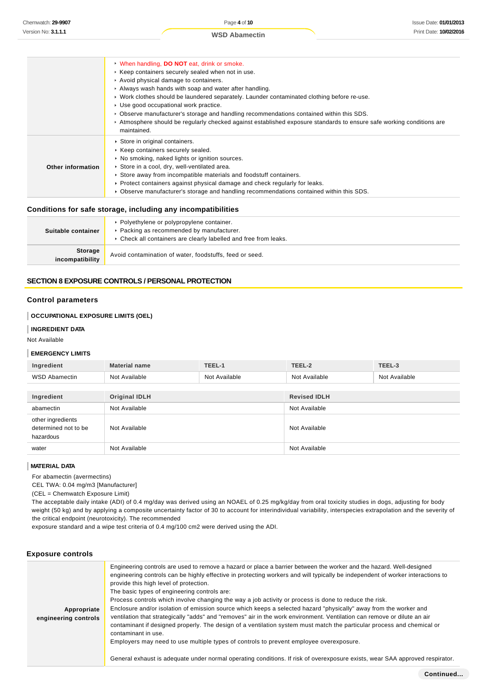|                   | • When handling, <b>DO NOT</b> eat, drink or smoke.<br>▶ Keep containers securely sealed when not in use.<br>Avoid physical damage to containers.<br>Always wash hands with soap and water after handling.<br>▶ Work clothes should be laundered separately. Launder contaminated clothing before re-use.<br>Use good occupational work practice.<br>▶ Observe manufacturer's storage and handling recommendations contained within this SDS.<br>▶ Atmosphere should be regularly checked against established exposure standards to ensure safe working conditions are<br>maintained. |
|-------------------|---------------------------------------------------------------------------------------------------------------------------------------------------------------------------------------------------------------------------------------------------------------------------------------------------------------------------------------------------------------------------------------------------------------------------------------------------------------------------------------------------------------------------------------------------------------------------------------|
| Other information | Store in original containers.<br>▶ Keep containers securely sealed.<br>• No smoking, naked lights or ignition sources.<br>Store in a cool, dry, well-ventilated area.<br>Store away from incompatible materials and foodstuff containers.<br>▶ Protect containers against physical damage and check regularly for leaks.<br>► Observe manufacturer's storage and handling recommendations contained within this SDS.                                                                                                                                                                  |

## **Conditions for safe storage, including any incompatibilities**

| Suitable container                | ▶ Polyethylene or polypropylene container.<br>▶ Packing as recommended by manufacturer.<br>• Check all containers are clearly labelled and free from leaks. |
|-----------------------------------|-------------------------------------------------------------------------------------------------------------------------------------------------------------|
| <b>Storage</b><br>incompatibility | Avoid contamination of water, foodstuffs, feed or seed.                                                                                                     |

## **SECTION 8 EXPOSURE CONTROLS / PERSONAL PROTECTION**

#### **Control parameters**

## **OCCUPATIONAL EXPOSURE LIMITS (OEL)**

## **INGREDIENT DATA**

Not Available

#### **EMERGENCY LIMITS**

| Ingredient                                             | <b>Material name</b> | TEEL-1        | TEEL-2              | TEEL-3        |
|--------------------------------------------------------|----------------------|---------------|---------------------|---------------|
| <b>WSD Abamectin</b>                                   | Not Available        | Not Available | Not Available       | Not Available |
|                                                        |                      |               |                     |               |
| Ingredient                                             | <b>Original IDLH</b> |               | <b>Revised IDLH</b> |               |
| abamectin                                              | Not Available        |               | Not Available       |               |
| other ingredients<br>determined not to be<br>hazardous | Not Available        |               | Not Available       |               |
| water                                                  | Not Available        |               | Not Available       |               |

#### **MATERIAL DATA**

For abamectin (avermectins)

CEL TWA: 0.04 mg/m3 [Manufacturer]

(CEL = Chemwatch Exposure Limit)

The acceptable daily intake (ADI) of 0.4 mg/day was derived using an NOAEL of 0.25 mg/kg/day from oral toxicity studies in dogs, adjusting for body weight (50 kg) and by applying a composite uncertainty factor of 30 to account for interindividual variability, interspecies extrapolation and the severity of the critical endpoint (neurotoxicity). The recommended

exposure standard and a wipe test criteria of 0.4 mg/100 cm2 were derived using the ADI.

#### **Exposure controls**

| Appropriate<br>engineering controls | Engineering controls are used to remove a hazard or place a barrier between the worker and the hazard. Well-designed<br>engineering controls can be highly effective in protecting workers and will typically be independent of worker interactions to<br>provide this high level of protection.<br>The basic types of engineering controls are:<br>Process controls which involve changing the way a job activity or process is done to reduce the risk.<br>Enclosure and/or isolation of emission source which keeps a selected hazard "physically" away from the worker and<br>ventilation that strategically "adds" and "removes" air in the work environment. Ventilation can remove or dilute an air<br>contaminant if designed properly. The design of a ventilation system must match the particular process and chemical or<br>contaminant in use.<br>Employers may need to use multiple types of controls to prevent employee overexposure.<br>General exhaust is adequate under normal operating conditions. If risk of overexposure exists, wear SAA approved respirator. |
|-------------------------------------|---------------------------------------------------------------------------------------------------------------------------------------------------------------------------------------------------------------------------------------------------------------------------------------------------------------------------------------------------------------------------------------------------------------------------------------------------------------------------------------------------------------------------------------------------------------------------------------------------------------------------------------------------------------------------------------------------------------------------------------------------------------------------------------------------------------------------------------------------------------------------------------------------------------------------------------------------------------------------------------------------------------------------------------------------------------------------------------|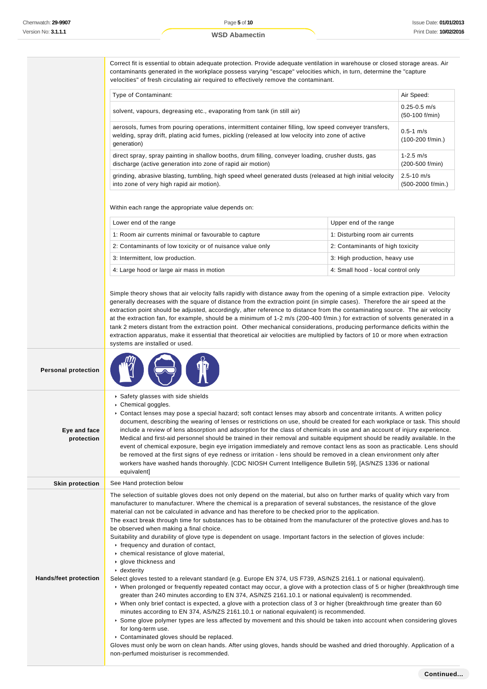Correct fit is essential to obtain adequate protection. Provide adequate ventilation in warehouse or closed storage areas. Air contaminants generated in the workplace possess varying "escape" velocities which, in turn, determine the "capture velocities" of fresh circulating air required to effectively remove the contaminant.

| Type of Contaminant:                                                                                                                                                                                                      | Air Speed:                           |
|---------------------------------------------------------------------------------------------------------------------------------------------------------------------------------------------------------------------------|--------------------------------------|
| solvent, vapours, degreasing etc., evaporating from tank (in still air)                                                                                                                                                   | $0.25 - 0.5$ m/s<br>(50-100 f/min)   |
| aerosols, fumes from pouring operations, intermittent container filling, low speed conveyer transfers,<br>welding, spray drift, plating acid fumes, pickling (released at low velocity into zone of active<br>generation) | $0.5 - 1$ m/s<br>$(100-200)$ f/min.) |
| direct spray, spray painting in shallow booths, drum filling, conveyer loading, crusher dusts, gas<br>discharge (active generation into zone of rapid air motion)                                                         | 1-2.5 m/s<br>$(200-500 f/min)$       |
| grinding, abrasive blasting, tumbling, high speed wheel generated dusts (released at high initial velocity<br>into zone of very high rapid air motion).                                                                   | $2.5 - 10$ m/s<br>(500-2000 f/min.)  |

Within each range the appropriate value depends on:

n a

| Lower end of the range                                    | Upper end of the range             |
|-----------------------------------------------------------|------------------------------------|
| 1: Room air currents minimal or favourable to capture     | 1: Disturbing room air currents    |
| 2: Contaminants of low toxicity or of nuisance value only | 2: Contaminants of high toxicity   |
| 3: Intermittent, low production.                          | 3: High production, heavy use      |
| 4: Large hood or large air mass in motion                 | 4: Small hood - local control only |

Simple theory shows that air velocity falls rapidly with distance away from the opening of a simple extraction pipe. Velocity generally decreases with the square of distance from the extraction point (in simple cases). Therefore the air speed at the extraction point should be adjusted, accordingly, after reference to distance from the contaminating source. The air velocity at the extraction fan, for example, should be a minimum of 1-2 m/s (200-400 f/min.) for extraction of solvents generated in a tank 2 meters distant from the extraction point. Other mechanical considerations, producing performance deficits within the extraction apparatus, make it essential that theoretical air velocities are multiplied by factors of 10 or more when extraction systems are installed or used.

| <b>Personal protection</b>   |                                                                                                                                                                                                                                                                                                                                                                                                                                                                                                                                                                                                                                                                                                                                                                                                                                                                                                                                                                                                                                                                                                                                                                                                                                                                                                                                                                                                                                                                                                                                                                                                                                                                                                                                                                           |
|------------------------------|---------------------------------------------------------------------------------------------------------------------------------------------------------------------------------------------------------------------------------------------------------------------------------------------------------------------------------------------------------------------------------------------------------------------------------------------------------------------------------------------------------------------------------------------------------------------------------------------------------------------------------------------------------------------------------------------------------------------------------------------------------------------------------------------------------------------------------------------------------------------------------------------------------------------------------------------------------------------------------------------------------------------------------------------------------------------------------------------------------------------------------------------------------------------------------------------------------------------------------------------------------------------------------------------------------------------------------------------------------------------------------------------------------------------------------------------------------------------------------------------------------------------------------------------------------------------------------------------------------------------------------------------------------------------------------------------------------------------------------------------------------------------------|
| Eye and face<br>protection   | Safety glasses with side shields<br>Chemical goggles.<br>► Contact lenses may pose a special hazard; soft contact lenses may absorb and concentrate irritants. A written policy<br>document, describing the wearing of lenses or restrictions on use, should be created for each workplace or task. This should<br>include a review of lens absorption and adsorption for the class of chemicals in use and an account of injury experience.<br>Medical and first-aid personnel should be trained in their removal and suitable equipment should be readily available. In the<br>event of chemical exposure, begin eye irrigation immediately and remove contact lens as soon as practicable. Lens should<br>be removed at the first signs of eye redness or irritation - lens should be removed in a clean environment only after<br>workers have washed hands thoroughly. [CDC NIOSH Current Intelligence Bulletin 59], [AS/NZS 1336 or national<br>equivalent]                                                                                                                                                                                                                                                                                                                                                                                                                                                                                                                                                                                                                                                                                                                                                                                                         |
| <b>Skin protection</b>       | See Hand protection below                                                                                                                                                                                                                                                                                                                                                                                                                                                                                                                                                                                                                                                                                                                                                                                                                                                                                                                                                                                                                                                                                                                                                                                                                                                                                                                                                                                                                                                                                                                                                                                                                                                                                                                                                 |
| <b>Hands/feet protection</b> | The selection of suitable gloves does not only depend on the material, but also on further marks of quality which vary from<br>manufacturer to manufacturer. Where the chemical is a preparation of several substances, the resistance of the glove<br>material can not be calculated in advance and has therefore to be checked prior to the application.<br>The exact break through time for substances has to be obtained from the manufacturer of the protective gloves and has to<br>be observed when making a final choice.<br>Suitability and durability of glove type is dependent on usage. Important factors in the selection of gloves include:<br>$\cdot$ frequency and duration of contact,<br>$\triangleright$ chemical resistance of glove material,<br>▶ glove thickness and<br>$\cdot$ dexterity<br>Select gloves tested to a relevant standard (e.g. Europe EN 374, US F739, AS/NZS 2161.1 or national equivalent).<br>▶ When prolonged or frequently repeated contact may occur, a glove with a protection class of 5 or higher (breakthrough time<br>greater than 240 minutes according to EN 374, AS/NZS 2161.10.1 or national equivalent) is recommended.<br>• When only brief contact is expected, a glove with a protection class of 3 or higher (breakthrough time greater than 60<br>minutes according to EN 374, AS/NZS 2161.10.1 or national equivalent) is recommended.<br>Some glove polymer types are less affected by movement and this should be taken into account when considering gloves<br>for long-term use.<br>• Contaminated gloves should be replaced.<br>Gloves must only be worn on clean hands. After using gloves, hands should be washed and dried thoroughly. Application of a<br>non-perfumed moisturiser is recommended. |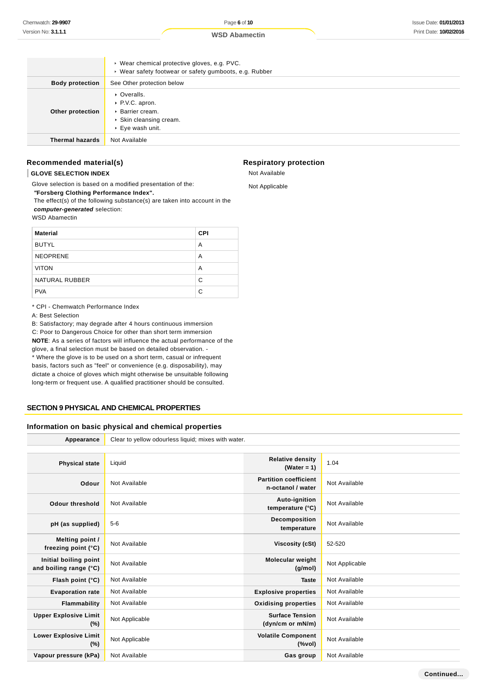|                        | ▶ Wear chemical protective gloves, e.g. PVC.<br>▶ Wear safety footwear or safety gumboots, e.g. Rubber         |
|------------------------|----------------------------------------------------------------------------------------------------------------|
| <b>Body protection</b> | See Other protection below                                                                                     |
| Other protection       | • Overalls.<br>▶ P.V.C. apron.<br>$\triangleright$ Barrier cream.<br>Skin cleansing cream.<br>▶ Eye wash unit. |
| <b>Thermal hazards</b> | Not Available                                                                                                  |

## **Recommended material(s)**

#### **GLOVE SELECTION INDEX**

Glove selection is based on a modified presentation of the:  **"Forsberg Clothing Performance Index".**

 The effect(s) of the following substance(s) are taken into account in the **computer-generated** selection:

WSD Abamectin

| <b>Material</b> | <b>CPI</b> |
|-----------------|------------|
| <b>BUTYL</b>    | A          |
| <b>NEOPRENE</b> | A          |
| <b>VITON</b>    | A          |
| NATURAL RUBBER  | C          |
| <b>PVA</b>      | C          |

\* CPI - Chemwatch Performance Index

A: Best Selection

B: Satisfactory; may degrade after 4 hours continuous immersion C: Poor to Dangerous Choice for other than short term immersion **NOTE**: As a series of factors will influence the actual performance of the glove, a final selection must be based on detailed observation. - \* Where the glove is to be used on a short term, casual or infrequent basis, factors such as "feel" or convenience (e.g. disposability), may dictate a choice of gloves which might otherwise be unsuitable following long-term or frequent use. A qualified practitioner should be consulted.

## **SECTION 9 PHYSICAL AND CHEMICAL PROPERTIES**

## **Information on basic physical and chemical properties**

| Appearance                                      | Clear to yellow odourless liquid; mixes with water. |                                                   |                |
|-------------------------------------------------|-----------------------------------------------------|---------------------------------------------------|----------------|
|                                                 |                                                     |                                                   |                |
| <b>Physical state</b>                           | Liquid                                              | <b>Relative density</b><br>(Water = $1$ )         | 1.04           |
| Odour                                           | Not Available                                       | <b>Partition coefficient</b><br>n-octanol / water | Not Available  |
| <b>Odour threshold</b>                          | Not Available                                       | Auto-ignition<br>temperature (°C)                 | Not Available  |
| pH (as supplied)                                | $5-6$                                               | Decomposition<br>temperature                      | Not Available  |
| Melting point /<br>freezing point $(°C)$        | Not Available                                       | Viscosity (cSt)                                   | 52-520         |
| Initial boiling point<br>and boiling range (°C) | Not Available                                       | <b>Molecular weight</b><br>(g/mol)                | Not Applicable |
| Flash point (°C)                                | Not Available                                       | <b>Taste</b>                                      | Not Available  |
| <b>Evaporation rate</b>                         | Not Available                                       | <b>Explosive properties</b>                       | Not Available  |
| Flammability                                    | Not Available                                       | <b>Oxidising properties</b>                       | Not Available  |
| <b>Upper Explosive Limit</b><br>(%)             | Not Applicable                                      | <b>Surface Tension</b><br>(dyn/cm or mN/m)        | Not Available  |
| <b>Lower Explosive Limit</b><br>(%)             | Not Applicable                                      | <b>Volatile Component</b><br>(%vol)               | Not Available  |
| Vapour pressure (kPa)                           | Not Available                                       | Gas group                                         | Not Available  |

#### **Respiratory protection**

Not Available

Not Applicable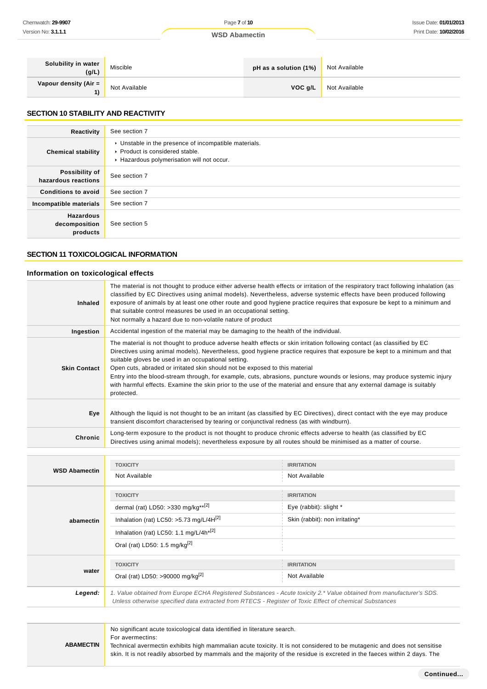| Solubility in water<br>(g/L)  | Miscible      | pH as a solution $(1%)$ | Not Available |
|-------------------------------|---------------|-------------------------|---------------|
| Vapour density (Air $=$<br>1) | Not Available | VOC q/L                 | Not Available |

## **SECTION 10 STABILITY AND REACTIVITY**

| Reactivity                                    | See section 7                                                                                                                        |
|-----------------------------------------------|--------------------------------------------------------------------------------------------------------------------------------------|
| <b>Chemical stability</b>                     | • Unstable in the presence of incompatible materials.<br>▶ Product is considered stable.<br>Hazardous polymerisation will not occur. |
| Possibility of<br>hazardous reactions         | See section 7                                                                                                                        |
| <b>Conditions to avoid</b>                    | See section 7                                                                                                                        |
| Incompatible materials                        | See section 7                                                                                                                        |
| <b>Hazardous</b><br>decomposition<br>products | See section 5                                                                                                                        |

## **SECTION 11 TOXICOLOGICAL INFORMATION**

## **Information on toxicological effects**

| <b>Inhaled</b>      | The material is not thought to produce either adverse health effects or irritation of the respiratory tract following inhalation (as<br>classified by EC Directives using animal models). Nevertheless, adverse systemic effects have been produced following<br>exposure of animals by at least one other route and good hygiene practice requires that exposure be kept to a minimum and<br>that suitable control measures be used in an occupational setting.<br>Not normally a hazard due to non-volatile nature of product                                                                                                                                   |  |  |
|---------------------|-------------------------------------------------------------------------------------------------------------------------------------------------------------------------------------------------------------------------------------------------------------------------------------------------------------------------------------------------------------------------------------------------------------------------------------------------------------------------------------------------------------------------------------------------------------------------------------------------------------------------------------------------------------------|--|--|
| Ingestion           | Accidental ingestion of the material may be damaging to the health of the individual.                                                                                                                                                                                                                                                                                                                                                                                                                                                                                                                                                                             |  |  |
| <b>Skin Contact</b> | The material is not thought to produce adverse health effects or skin irritation following contact (as classified by EC<br>Directives using animal models). Nevertheless, good hygiene practice requires that exposure be kept to a minimum and that<br>suitable gloves be used in an occupational setting.<br>Open cuts, abraded or irritated skin should not be exposed to this material<br>Entry into the blood-stream through, for example, cuts, abrasions, puncture wounds or lesions, may produce systemic injury<br>with harmful effects. Examine the skin prior to the use of the material and ensure that any external damage is suitably<br>protected. |  |  |
| Eye                 | Although the liquid is not thought to be an irritant (as classified by EC Directives), direct contact with the eye may produce<br>transient discomfort characterised by tearing or conjunctival redness (as with windburn).                                                                                                                                                                                                                                                                                                                                                                                                                                       |  |  |
| Chronic             | Long-term exposure to the product is not thought to produce chronic effects adverse to health (as classified by EC<br>Directives using animal models); nevertheless exposure by all routes should be minimised as a matter of course.                                                                                                                                                                                                                                                                                                                                                                                                                             |  |  |
|                     | ----------                                                                                                                                                                                                                                                                                                                                                                                                                                                                                                                                                                                                                                                        |  |  |

| <b>WSD Abamectin</b> | <b>TOXICITY</b>                                                                                                                                                                                                                 | <b>IRRITATION</b>              |  |
|----------------------|---------------------------------------------------------------------------------------------------------------------------------------------------------------------------------------------------------------------------------|--------------------------------|--|
|                      | Not Available                                                                                                                                                                                                                   | Not Available                  |  |
|                      | <b>TOXICITY</b>                                                                                                                                                                                                                 | <b>IRRITATION</b>              |  |
|                      | dermal (rat) LD50: >330 mg/kg <sup>**[2]</sup>                                                                                                                                                                                  | Eye (rabbit): slight *         |  |
| abamectin            | Inhalation (rat) LC50: $>5.73$ mg/L/4H <sup>[2]</sup>                                                                                                                                                                           | Skin (rabbit): non irritating* |  |
|                      | Inhalation (rat) LC50: 1.1 mg/L/4h <sup>*[2]</sup>                                                                                                                                                                              |                                |  |
|                      | Oral (rat) LD50: 1.5 mg/kg $^{[2]}$                                                                                                                                                                                             |                                |  |
| water                | <b>TOXICITY</b>                                                                                                                                                                                                                 | <b>IRRITATION</b>              |  |
|                      | Oral (rat) LD50: >90000 mg/kg <sup>[2]</sup>                                                                                                                                                                                    | Not Available                  |  |
| Legend:              | 1. Value obtained from Europe ECHA Registered Substances - Acute toxicity 2.* Value obtained from manufacturer's SDS.<br>Unless otherwise specified data extracted from RTECS - Register of Toxic Effect of chemical Substances |                                |  |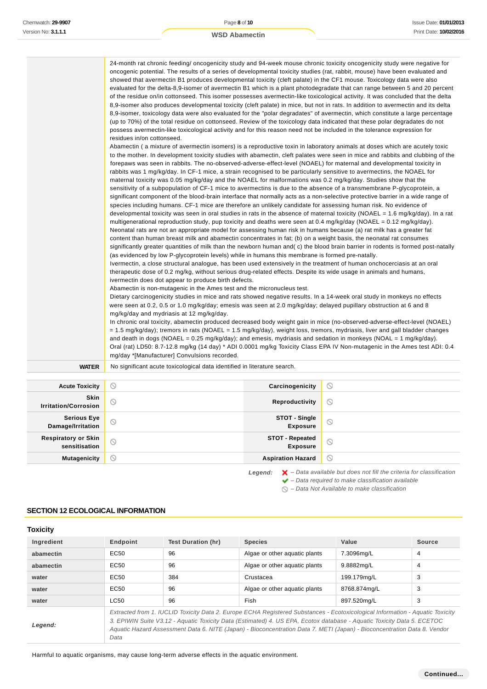|                                     | 24-month rat chronic feeding/oncogenicity study and 94-week mouse chronic toxicity oncogenicity study were negative for<br>oncogenic potential. The results of a series of developmental toxicity studies (rat, rabbit, mouse) have been evaluated and<br>showed that avermectin B1 produces developmental toxicity (cleft palate) in the CF1 mouse. Toxicology data were also<br>of the residue on/in cottonseed. This isomer possesses avermectin-like toxicological activity. It was concluded that the delta<br>8,9-isomer also produces developmental toxicity (cleft palate) in mice, but not in rats. In addition to avermectin and its delta<br>8,9-isomer, toxicology data were also evaluated for the "polar degradates" of avermectin, which constitute a large percentage<br>(up to 70%) of the total residue on cottonseed. Review of the toxicology data indicated that these polar degradates do not<br>possess avermectin-like toxicological activity and for this reason need not be included in the tolerance expression for<br>residues in/on cottonseed.<br>Abamectin (a mixture of avermectin isomers) is a reproductive toxin in laboratory animals at doses which are acutely toxic<br>forepaws was seen in rabbits. The no-observed-adverse-effect-level (NOAEL) for maternal and developmental toxicity in<br>rabbits was 1 mg/kg/day. In CF-1 mice, a strain recognised to be particularly sensitive to avermectins, the NOAEL for<br>maternal toxicity was 0.05 mg/kg/day and the NOAEL for malformations was 0.2 mg/kg/day. Studies show that the<br>sensitivity of a subpopulation of CF-1 mice to avermectins is due to the absence of a transmembrane P-glycoprotein, a<br>significant component of the blood-brain interface that normally acts as a non-selective protective barrier in a wide range of<br>species including humans. CF-1 mice are therefore an unlikely candidate for assessing human risk. No evidence of<br>multigenerational reproduction study, pup toxicity and deaths were seen at 0.4 mg/kg/day (NOAEL = 0.12 mg/kg/day).<br>Neonatal rats are not an appropriate model for assessing human risk in humans because (a) rat milk has a greater fat<br>content than human breast milk and abamectin concentrates in fat; (b) on a weight basis, the neonatal rat consumes<br>(as evidenced by low P-glycoprotein levels) while in humans this membrane is formed pre-natally.<br>Ivermectin, a close structural analogue, has been used extensively in the treatment of human onchocerciasis at an oral<br>therapeutic dose of 0.2 mg/kg, without serious drug-related effects. Despite its wide usage in animals and humans,<br>ivermectin does dot appear to produce birth defects.<br>Abamectin is non-mutagenic in the Ames test and the micronucleus test.<br>Dietary carcinogenicity studies in mice and rats showed negative results. In a 14-week oral study in monkeys no effects<br>were seen at 0.2, 0.5 or 1.0 mg/kg/day; emesis was seen at 2.0 mg/kg/day; delayed pupillary obstruction at 6 and 8<br>mg/kg/day and mydriasis at 12 mg/kg/day.<br>In chronic oral toxicity, abamectin produced decreased body weight gain in mice (no-observed-adverse-effect-level (NOAEL)<br>$= 1.5$ mg/kg/day); tremors in rats (NOAEL = 1.5 mg/kg/day), weight loss, tremors, mydriasis, liver and gall bladder changes<br>and death in dogs (NOAEL = 0.25 mg/kg/day); and emesis, mydriasis and sedation in monkeys (NOAL = 1 mg/kg/day).<br>mg/day *[Manufacturer] Convulsions recorded. |                      | evaluated for the delta-8,9-isomer of avermectin B1 which is a plant photodegradate that can range between 5 and 20 percent<br>to the mother. In development toxicity studies with abamectin, cleft palates were seen in mice and rabbits and clubbing of the<br>developmental toxicity was seen in oral studies in rats in the absence of maternal toxicity (NOAEL = 1.6 mg/kg/day). In a rat<br>significantly greater quantities of milk than the newborn human and(c) the blood brain barrier in rodents is formed post-natally<br>Oral (rat) LD50: 8.7-12.8 mg/kg (14 day) * ADI 0.0001 mg/kg Toxicity Class EPA IV Non-mutagenic in the Ames test ADI: 0.4 |
|-------------------------------------|-----------------------------------------------------------------------------------------------------------------------------------------------------------------------------------------------------------------------------------------------------------------------------------------------------------------------------------------------------------------------------------------------------------------------------------------------------------------------------------------------------------------------------------------------------------------------------------------------------------------------------------------------------------------------------------------------------------------------------------------------------------------------------------------------------------------------------------------------------------------------------------------------------------------------------------------------------------------------------------------------------------------------------------------------------------------------------------------------------------------------------------------------------------------------------------------------------------------------------------------------------------------------------------------------------------------------------------------------------------------------------------------------------------------------------------------------------------------------------------------------------------------------------------------------------------------------------------------------------------------------------------------------------------------------------------------------------------------------------------------------------------------------------------------------------------------------------------------------------------------------------------------------------------------------------------------------------------------------------------------------------------------------------------------------------------------------------------------------------------------------------------------------------------------------------------------------------------------------------------------------------------------------------------------------------------------------------------------------------------------------------------------------------------------------------------------------------------------------------------------------------------------------------------------------------------------------------------------------------------------------------------------------------------------------------------------------------------------------------------------------------------------------------------------------------------------------------------------------------------------------------------------------------------------------------------------------------------------------------------------------------------------------------------------------------------------------------------------------------------------------------------------------------------------------------------------------------------------------------------------------------------------------------------------------------------------------------------------------------------------------------------------------------------------------------------------------------------------------------------------------------------------------------------------------------|----------------------|-----------------------------------------------------------------------------------------------------------------------------------------------------------------------------------------------------------------------------------------------------------------------------------------------------------------------------------------------------------------------------------------------------------------------------------------------------------------------------------------------------------------------------------------------------------------------------------------------------------------------------------------------------------------|
| <b>WATER</b>                        | No significant acute toxicological data identified in literature search.                                                                                                                                                                                                                                                                                                                                                                                                                                                                                                                                                                                                                                                                                                                                                                                                                                                                                                                                                                                                                                                                                                                                                                                                                                                                                                                                                                                                                                                                                                                                                                                                                                                                                                                                                                                                                                                                                                                                                                                                                                                                                                                                                                                                                                                                                                                                                                                                                                                                                                                                                                                                                                                                                                                                                                                                                                                                                                                                                                                                                                                                                                                                                                                                                                                                                                                                                                                                                                                                            |                      |                                                                                                                                                                                                                                                                                                                                                                                                                                                                                                                                                                                                                                                                 |
|                                     |                                                                                                                                                                                                                                                                                                                                                                                                                                                                                                                                                                                                                                                                                                                                                                                                                                                                                                                                                                                                                                                                                                                                                                                                                                                                                                                                                                                                                                                                                                                                                                                                                                                                                                                                                                                                                                                                                                                                                                                                                                                                                                                                                                                                                                                                                                                                                                                                                                                                                                                                                                                                                                                                                                                                                                                                                                                                                                                                                                                                                                                                                                                                                                                                                                                                                                                                                                                                                                                                                                                                                     |                      |                                                                                                                                                                                                                                                                                                                                                                                                                                                                                                                                                                                                                                                                 |
| <b>Acute Toxicity</b>               | $\odot$                                                                                                                                                                                                                                                                                                                                                                                                                                                                                                                                                                                                                                                                                                                                                                                                                                                                                                                                                                                                                                                                                                                                                                                                                                                                                                                                                                                                                                                                                                                                                                                                                                                                                                                                                                                                                                                                                                                                                                                                                                                                                                                                                                                                                                                                                                                                                                                                                                                                                                                                                                                                                                                                                                                                                                                                                                                                                                                                                                                                                                                                                                                                                                                                                                                                                                                                                                                                                                                                                                                                             | Carcinogenicity      | ∾                                                                                                                                                                                                                                                                                                                                                                                                                                                                                                                                                                                                                                                               |
| Skin<br><b>Irritation/Corrosion</b> | ⊚                                                                                                                                                                                                                                                                                                                                                                                                                                                                                                                                                                                                                                                                                                                                                                                                                                                                                                                                                                                                                                                                                                                                                                                                                                                                                                                                                                                                                                                                                                                                                                                                                                                                                                                                                                                                                                                                                                                                                                                                                                                                                                                                                                                                                                                                                                                                                                                                                                                                                                                                                                                                                                                                                                                                                                                                                                                                                                                                                                                                                                                                                                                                                                                                                                                                                                                                                                                                                                                                                                                                                   | Reproductivity       | ◎                                                                                                                                                                                                                                                                                                                                                                                                                                                                                                                                                                                                                                                               |
| Serious Eve                         |                                                                                                                                                                                                                                                                                                                                                                                                                                                                                                                                                                                                                                                                                                                                                                                                                                                                                                                                                                                                                                                                                                                                                                                                                                                                                                                                                                                                                                                                                                                                                                                                                                                                                                                                                                                                                                                                                                                                                                                                                                                                                                                                                                                                                                                                                                                                                                                                                                                                                                                                                                                                                                                                                                                                                                                                                                                                                                                                                                                                                                                                                                                                                                                                                                                                                                                                                                                                                                                                                                                                                     | <b>STOT - Single</b> |                                                                                                                                                                                                                                                                                                                                                                                                                                                                                                                                                                                                                                                                 |

| 11 11 11 11 10 11 11 02 11 12 13 10 11      |
|---------------------------------------------|
| <b>Serious Eye</b><br>Damage/Irritation     |
| <b>Respiratory or Skin</b><br>sensitisation |
|                                             |

**Mutagenicity Aspiration Hazard** 

**Exposure**

 $\circ$ 

 $\circledcirc$  $\circ$ 

**STOT - Repeated Exposure**

Legend:  $\mathsf{X}$  - Data available but does not fill the criteria for classification  $\blacktriangleright$  – Data required to make classification available

 $\bigcirc$  – Data Not Available to make classification

#### **SECTION 12 ECOLOGICAL INFORMATION**

 $\circ$ 

 $\odot$ 

Data

## **Toxicity Ingredient Endpoint Test Duration (hr) Species Value Source abamectin** EC50 86 96 Algae or other aquatic plants 7.3096mg/L 4 **abamectin** EC50 96 Algae or other aquatic plants 9.8882mg/L 4 **water** EC50 384 Crustacea 199.179mg/L 3 **water EC50** BOS B768.874mg/L 3 **water** LC50 96 Fish 897.520mg/L 3 **Legend:** Extracted from 1. IUCLID Toxicity Data 2. Europe ECHA Registered Substances - Ecotoxicological Information - Aquatic Toxicity 3. EPIWIN Suite V3.12 - Aquatic Toxicity Data (Estimated) 4. US EPA, Ecotox database - Aquatic Toxicity Data 5. ECETOC Aquatic Hazard Assessment Data 6. NITE (Japan) - Bioconcentration Data 7. METI (Japan) - Bioconcentration Data 8. Vendor

Harmful to aquatic organisms, may cause long-term adverse effects in the aquatic environment.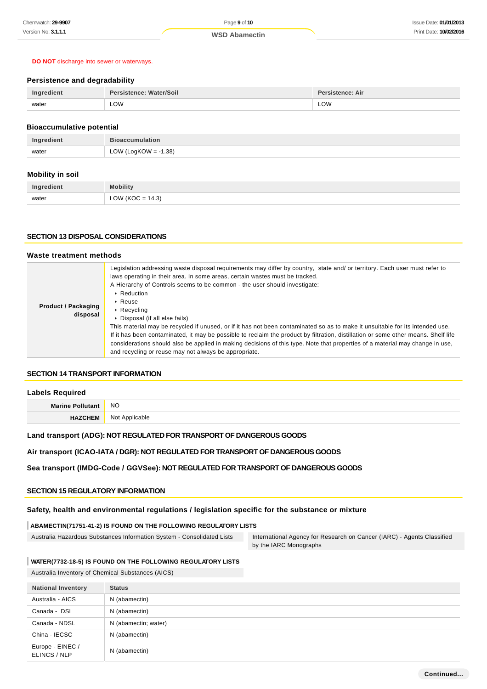#### **DO NOT** discharge into sewer or waterways.

## **Persistence and degradability**

| Ingredient | Persistence: Water/Soil | Persistence: Air |
|------------|-------------------------|------------------|
| water      | LOW                     | LOW              |

#### **Bioaccumulative potential**

| Ingredient | <b>Bioaccumulation</b>  |
|------------|-------------------------|
| water      | LOW (LogKOW = $-1.38$ ) |

## **Mobility in soil**

| Ingredient | Mohility             |
|------------|----------------------|
| water      | LOW ( $KOC = 14.3$ ) |

#### **SECTION 13 DISPOSAL CONSIDERATIONS**

## **Waste treatment methods**

| <b>Product / Packaging</b><br>disposal | Legislation addressing waste disposal requirements may differ by country, state and/ or territory. Each user must refer to<br>laws operating in their area. In some areas, certain wastes must be tracked.<br>A Hierarchy of Controls seems to be common - the user should investigate:<br>$\cdot$ Reduction<br>$\triangleright$ Reuse<br>$\triangleright$ Recycling<br>• Disposal (if all else fails)<br>This material may be recycled if unused, or if it has not been contaminated so as to make it unsuitable for its intended use.<br>If it has been contaminated, it may be possible to reclaim the product by filtration, distillation or some other means. Shelf life<br>considerations should also be applied in making decisions of this type. Note that properties of a material may change in use,<br>and recycling or reuse may not always be appropriate. |
|----------------------------------------|-------------------------------------------------------------------------------------------------------------------------------------------------------------------------------------------------------------------------------------------------------------------------------------------------------------------------------------------------------------------------------------------------------------------------------------------------------------------------------------------------------------------------------------------------------------------------------------------------------------------------------------------------------------------------------------------------------------------------------------------------------------------------------------------------------------------------------------------------------------------------|
|----------------------------------------|-------------------------------------------------------------------------------------------------------------------------------------------------------------------------------------------------------------------------------------------------------------------------------------------------------------------------------------------------------------------------------------------------------------------------------------------------------------------------------------------------------------------------------------------------------------------------------------------------------------------------------------------------------------------------------------------------------------------------------------------------------------------------------------------------------------------------------------------------------------------------|

#### **SECTION 14 TRANSPORT INFORMATION**

| <b>Labels Required</b>  |                |
|-------------------------|----------------|
| <b>Marine Pollutant</b> | <b>NO</b>      |
| <b>HAZCHEM</b>          | Not Applicable |

#### **Land transport (ADG): NOT REGULATED FOR TRANSPORT OF DANGEROUS GOODS**

## **Air transport (ICAO-IATA / DGR): NOT REGULATED FOR TRANSPORT OF DANGEROUS GOODS**

### **Sea transport (IMDG-Code / GGVSee): NOT REGULATED FOR TRANSPORT OF DANGEROUS GOODS**

#### **SECTION 15 REGULATORY INFORMATION**

#### **Safety, health and environmental regulations / legislation specific for the substance or mixture**

#### **ABAMECTIN(71751-41-2) IS FOUND ON THE FOLLOWING REGULATORY LISTS**

Australia Hazardous Substances Information System - Consolidated Lists International Agency for Research on Cancer (IARC) - Agents Classified

by the IARC Monographs

## **WATER(7732-18-5) IS FOUND ON THE FOLLOWING REGULATORY LISTS**

Australia Inventory of Chemical Substances (AICS)

| <b>National Inventory</b>        | <b>Status</b>        |
|----------------------------------|----------------------|
| Australia - AICS                 | N (abamectin)        |
| Canada - DSL                     | N (abamectin)        |
| Canada - NDSL                    | N (abamectin; water) |
| China - IECSC                    | N (abamectin)        |
| Europe - EINEC /<br>ELINCS / NLP | N (abamectin)        |